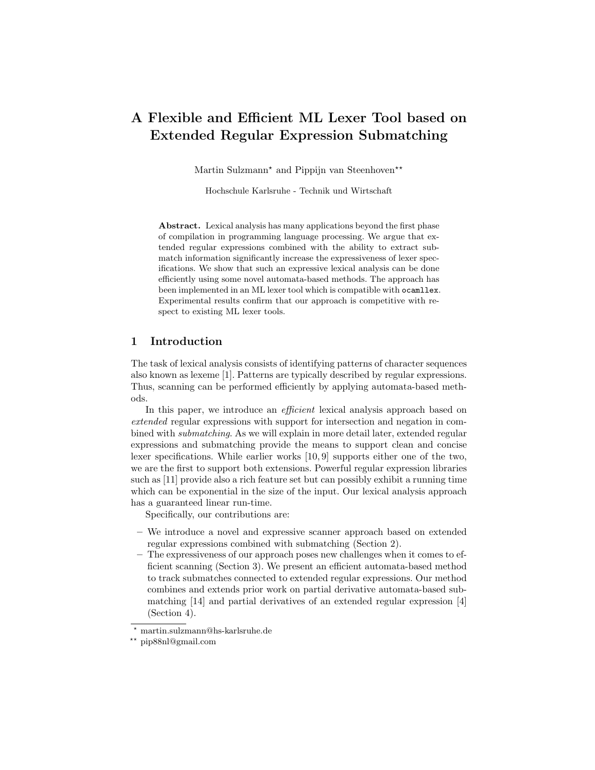# A Flexible and Efficient ML Lexer Tool based on Extended Regular Expression Submatching

Martin Sulzmann<sup>\*</sup> and Pippijn van Steenhoven<sup>\*\*</sup>

Hochschule Karlsruhe - Technik und Wirtschaft

Abstract. Lexical analysis has many applications beyond the first phase of compilation in programming language processing. We argue that extended regular expressions combined with the ability to extract submatch information significantly increase the expressiveness of lexer specifications. We show that such an expressive lexical analysis can be done efficiently using some novel automata-based methods. The approach has been implemented in an ML lexer tool which is compatible with ocamllex. Experimental results confirm that our approach is competitive with respect to existing ML lexer tools.

## 1 Introduction

The task of lexical analysis consists of identifying patterns of character sequences also known as lexeme [1]. Patterns are typically described by regular expressions. Thus, scanning can be performed efficiently by applying automata-based methods.

In this paper, we introduce an *efficient* lexical analysis approach based on extended regular expressions with support for intersection and negation in combined with submatching. As we will explain in more detail later, extended regular expressions and submatching provide the means to support clean and concise lexer specifications. While earlier works [10, 9] supports either one of the two, we are the first to support both extensions. Powerful regular expression libraries such as [11] provide also a rich feature set but can possibly exhibit a running time which can be exponential in the size of the input. Our lexical analysis approach has a guaranteed linear run-time.

Specifically, our contributions are:

- We introduce a novel and expressive scanner approach based on extended regular expressions combined with submatching (Section 2).
- The expressiveness of our approach poses new challenges when it comes to efficient scanning (Section 3). We present an efficient automata-based method to track submatches connected to extended regular expressions. Our method combines and extends prior work on partial derivative automata-based submatching [14] and partial derivatives of an extended regular expression [4] (Section 4).

<sup>?</sup> martin.sulzmann@hs-karlsruhe.de

<sup>??</sup> pip88nl@gmail.com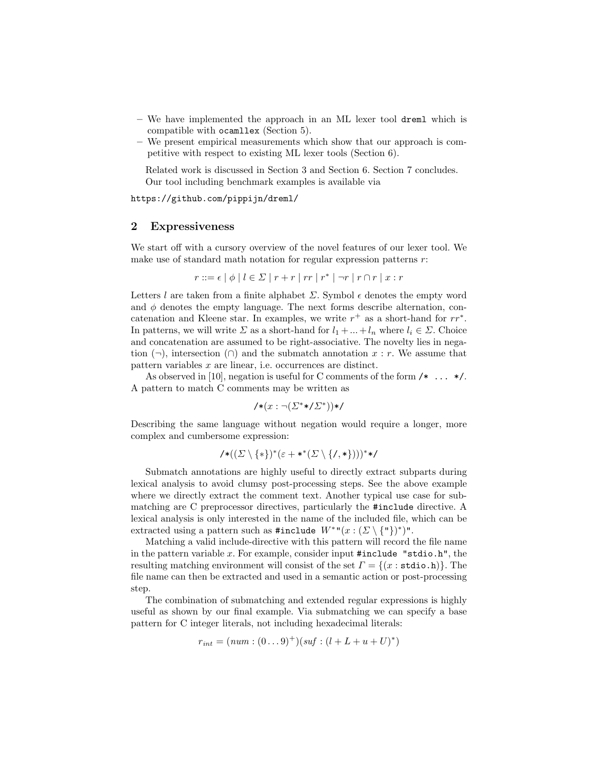- We have implemented the approach in an ML lexer tool dreml which is compatible with ocamllex (Section 5).
- We present empirical measurements which show that our approach is competitive with respect to existing ML lexer tools (Section 6).

Related work is discussed in Section 3 and Section 6. Section 7 concludes. Our tool including benchmark examples is available via

https://github.com/pippijn/dreml/

## 2 Expressiveness

We start off with a cursory overview of the novel features of our lexer tool. We make use of standard math notation for regular expression patterns  $r$ :

$$
r ::= \epsilon \mid \phi \mid l \in \Sigma \mid r + r \mid rr \mid r^* \mid \neg r \mid r \cap r \mid x : r
$$

Letters l are taken from a finite alphabet  $\Sigma$ . Symbol  $\epsilon$  denotes the empty word and  $\phi$  denotes the empty language. The next forms describe alternation, concatenation and Kleene star. In examples, we write  $r^+$  as a short-hand for  $rr^*$ . In patterns, we will write  $\Sigma$  as a short-hand for  $l_1 + ... + l_n$  where  $l_i \in \Sigma$ . Choice and concatenation are assumed to be right-associative. The novelty lies in negation  $(\neg)$ , intersection  $(\cap)$  and the submatch annotation x : r. We assume that pattern variables x are linear, i.e. occurrences are distinct.

As observed in [10], negation is useful for C comments of the form  $/* \ldots *'.$ A pattern to match C comments may be written as

$$
\mathsf{A}*(x:\neg(\varSigma^{*}\mathsf{A}/\varSigma^{*}))\mathsf{A}
$$

Describing the same language without negation would require a longer, more complex and cumbersome expression:

$$
\textit{/*}((\varSigma\setminus\{*\})^*(\varepsilon+*^*(\varSigma\setminus\{/,*\})))^* \textit{*/}
$$

Submatch annotations are highly useful to directly extract subparts during lexical analysis to avoid clumsy post-processing steps. See the above example where we directly extract the comment text. Another typical use case for submatching are C preprocessor directives, particularly the #include directive. A lexical analysis is only interested in the name of the included file, which can be extracted using a pattern such as #include  $W^{*n}(x:(\Sigma\setminus{\{\!\!~^{r}\!\!~}}))^*)$ ".

Matching a valid include-directive with this pattern will record the file name in the pattern variable x. For example, consider input  $\#$ include "stdio.h", the resulting matching environment will consist of the set  $\Gamma = \{(x : \text{stdio.h})\}\.$  The file name can then be extracted and used in a semantic action or post-processing step.

The combination of submatching and extended regular expressions is highly useful as shown by our final example. Via submatching we can specify a base pattern for C integer literals, not including hexadecimal literals:

$$
r_{int} = (num : (0...9)^+) (suf : (l + L + u + U)^*)
$$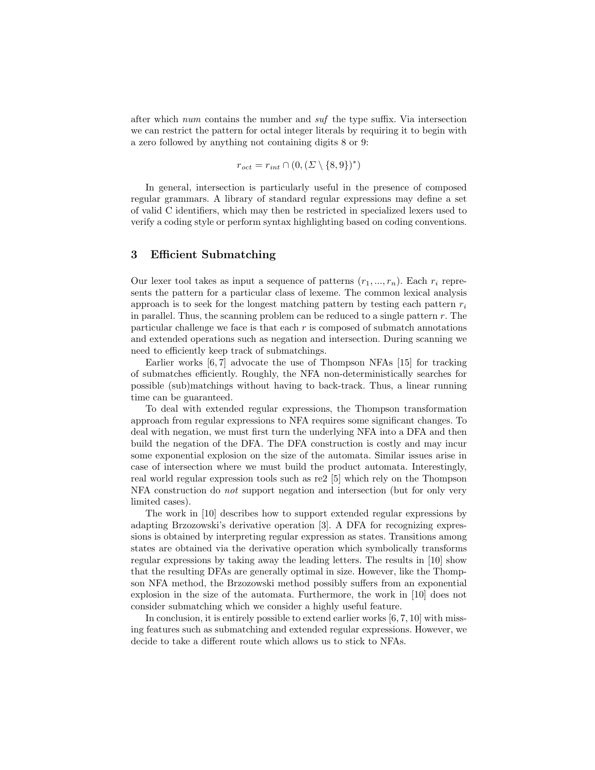after which num contains the number and  $\delta u f$  the type suffix. Via intersection we can restrict the pattern for octal integer literals by requiring it to begin with a zero followed by anything not containing digits 8 or 9:

$$
r_{oct} = r_{int} \cap (0, (\Sigma \setminus \{8, 9\})^*)
$$

In general, intersection is particularly useful in the presence of composed regular grammars. A library of standard regular expressions may define a set of valid C identifiers, which may then be restricted in specialized lexers used to verify a coding style or perform syntax highlighting based on coding conventions.

## 3 Efficient Submatching

Our lexer tool takes as input a sequence of patterns  $(r_1, ..., r_n)$ . Each  $r_i$  represents the pattern for a particular class of lexeme. The common lexical analysis approach is to seek for the longest matching pattern by testing each pattern  $r_i$ in parallel. Thus, the scanning problem can be reduced to a single pattern  $r$ . The particular challenge we face is that each  $r$  is composed of submatch annotations and extended operations such as negation and intersection. During scanning we need to efficiently keep track of submatchings.

Earlier works [6, 7] advocate the use of Thompson NFAs [15] for tracking of submatches efficiently. Roughly, the NFA non-deterministically searches for possible (sub)matchings without having to back-track. Thus, a linear running time can be guaranteed.

To deal with extended regular expressions, the Thompson transformation approach from regular expressions to NFA requires some significant changes. To deal with negation, we must first turn the underlying NFA into a DFA and then build the negation of the DFA. The DFA construction is costly and may incur some exponential explosion on the size of the automata. Similar issues arise in case of intersection where we must build the product automata. Interestingly, real world regular expression tools such as re2 [5] which rely on the Thompson NFA construction do not support negation and intersection (but for only very limited cases).

The work in [10] describes how to support extended regular expressions by adapting Brzozowski's derivative operation [3]. A DFA for recognizing expressions is obtained by interpreting regular expression as states. Transitions among states are obtained via the derivative operation which symbolically transforms regular expressions by taking away the leading letters. The results in [10] show that the resulting DFAs are generally optimal in size. However, like the Thompson NFA method, the Brzozowski method possibly suffers from an exponential explosion in the size of the automata. Furthermore, the work in [10] does not consider submatching which we consider a highly useful feature.

In conclusion, it is entirely possible to extend earlier works  $[6, 7, 10]$  with missing features such as submatching and extended regular expressions. However, we decide to take a different route which allows us to stick to NFAs.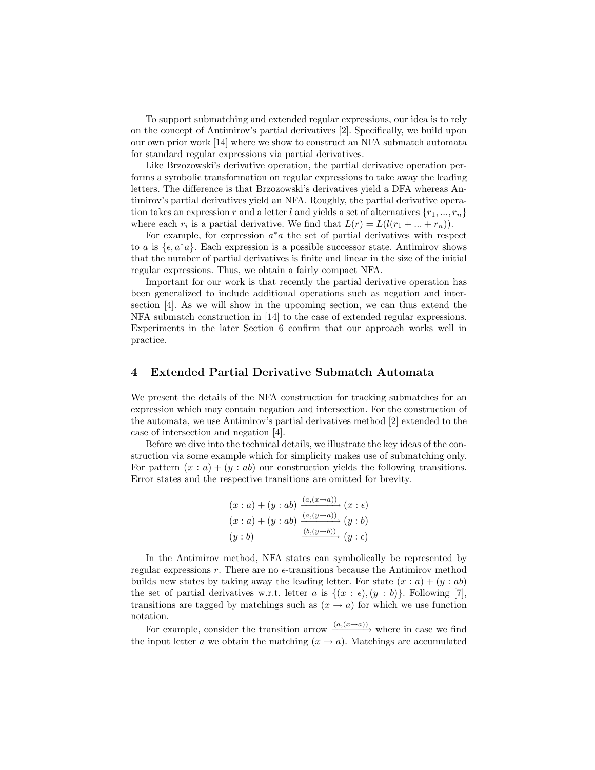To support submatching and extended regular expressions, our idea is to rely on the concept of Antimirov's partial derivatives [2]. Specifically, we build upon our own prior work [14] where we show to construct an NFA submatch automata for standard regular expressions via partial derivatives.

Like Brzozowski's derivative operation, the partial derivative operation performs a symbolic transformation on regular expressions to take away the leading letters. The difference is that Brzozowski's derivatives yield a DFA whereas Antimirov's partial derivatives yield an NFA. Roughly, the partial derivative operation takes an expression r and a letter l and yields a set of alternatives  $\{r_1, ..., r_n\}$ where each  $r_i$  is a partial derivative. We find that  $L(r) = L(l(r_1 + ... + r_n))$ .

For example, for expression  $a^*a$  the set of partial derivatives with respect to a is  $\{\epsilon, a^*a\}$ . Each expression is a possible successor state. Antimirov shows that the number of partial derivatives is finite and linear in the size of the initial regular expressions. Thus, we obtain a fairly compact NFA.

Important for our work is that recently the partial derivative operation has been generalized to include additional operations such as negation and intersection [4]. As we will show in the upcoming section, we can thus extend the NFA submatch construction in [14] to the case of extended regular expressions. Experiments in the later Section 6 confirm that our approach works well in practice.

## 4 Extended Partial Derivative Submatch Automata

We present the details of the NFA construction for tracking submatches for an expression which may contain negation and intersection. For the construction of the automata, we use Antimirov's partial derivatives method [2] extended to the case of intersection and negation [4].

Before we dive into the technical details, we illustrate the key ideas of the construction via some example which for simplicity makes use of submatching only. For pattern  $(x : a) + (y : ab)$  our construction yields the following transitions. Error states and the respective transitions are omitted for brevity.

$$
(x : a) + (y : ab) \xrightarrow{(a,(x \to a))} (x : \epsilon)
$$
  

$$
(x : a) + (y : ab) \xrightarrow{(a,(y \to a))} (y : b)
$$
  

$$
(y : b) \xrightarrow{(b,(y \to b))} (y : \epsilon)
$$

In the Antimirov method, NFA states can symbolically be represented by regular expressions  $r$ . There are no  $\epsilon$ -transitions because the Antimirov method builds new states by taking away the leading letter. For state  $(x : a) + (y : ab)$ the set of partial derivatives w.r.t. letter a is  $\{(x : \epsilon), (y : b)\}.$  Following [7], transitions are tagged by matchings such as  $(x \rightarrow a)$  for which we use function notation.

For example, consider the transition arrow  $\frac{(a,(x\rightarrow a))}{\rightarrow}$  where in case we find the input letter a we obtain the matching  $(x \to a)$ . Matchings are accumulated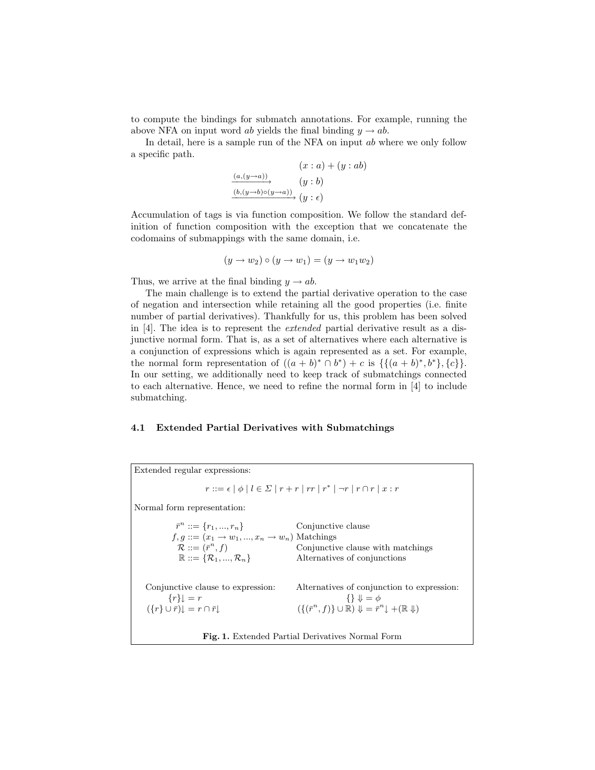to compute the bindings for submatch annotations. For example, running the above NFA on input word ab yields the final binding  $y \rightarrow ab$ .

In detail, here is a sample run of the NFA on input ab where we only follow a specific path.

$$
(x : a) + (y : ab)
$$
  
\n
$$
\xrightarrow{(a,(y \to a))} (y : b)
$$
  
\n
$$
\xrightarrow{(b,(y \to b) \circ (y \to a))} (y : \epsilon)
$$

Accumulation of tags is via function composition. We follow the standard definition of function composition with the exception that we concatenate the codomains of submappings with the same domain, i.e.

$$
(y \to w_2) \circ (y \to w_1) = (y \to w_1 w_2)
$$

Thus, we arrive at the final binding  $y \rightarrow ab$ .

The main challenge is to extend the partial derivative operation to the case of negation and intersection while retaining all the good properties (i.e. finite number of partial derivatives). Thankfully for us, this problem has been solved in [4]. The idea is to represent the extended partial derivative result as a disjunctive normal form. That is, as a set of alternatives where each alternative is a conjunction of expressions which is again represented as a set. For example, the normal form representation of  $((a + b)^* \cap b^*) + c$  is  $\{\{(a + b)^*, b^*\}, \{c\}\}.$ In our setting, we additionally need to keep track of submatchings connected to each alternative. Hence, we need to refine the normal form in [4] to include submatching.

#### 4.1 Extended Partial Derivatives with Submatchings

| Extended regular expressions:                                                                                                                                                                |                                                                                                                                                                                              |
|----------------------------------------------------------------------------------------------------------------------------------------------------------------------------------------------|----------------------------------------------------------------------------------------------------------------------------------------------------------------------------------------------|
|                                                                                                                                                                                              | $r ::= \epsilon   \phi   l \in \Sigma   r + r   rr   r^*   \neg r   r \cap r   x : r$                                                                                                        |
| Normal form representation:                                                                                                                                                                  |                                                                                                                                                                                              |
| $\bar{r}^n ::= \{r_1, , r_n\}$<br>$f, q ::= (x_1 \rightarrow w_1, , x_n \rightarrow w_n)$ Matchings<br>$\mathcal{R} ::= (\bar{r}^n, f)$<br>$\mathbb{R} ::= {\mathcal{R}_1, , \mathcal{R}_n}$ | Conjunctive clause<br>Conjunctive clause with matchings<br>Alternatives of conjunctions                                                                                                      |
| Conjunctive clause to expression:<br>$\{r\}\mathbf{l}=r$<br>$({r} \cup \overline{r}) \cup \overline{r} = r \cap \overline{r} \cup$                                                           | Alternatives of conjunction to expression:<br>$\{\}\Downarrow \emptyset$<br>$({\lbrace (\bar{r}^n, f) \rbrace \cup \mathbb{R}}) \Downarrow = \bar{r}^n \downarrow + (\mathbb{R} \Downarrow)$ |
| <b>Fig. 1.</b> Extended Partial Derivatives Normal Form                                                                                                                                      |                                                                                                                                                                                              |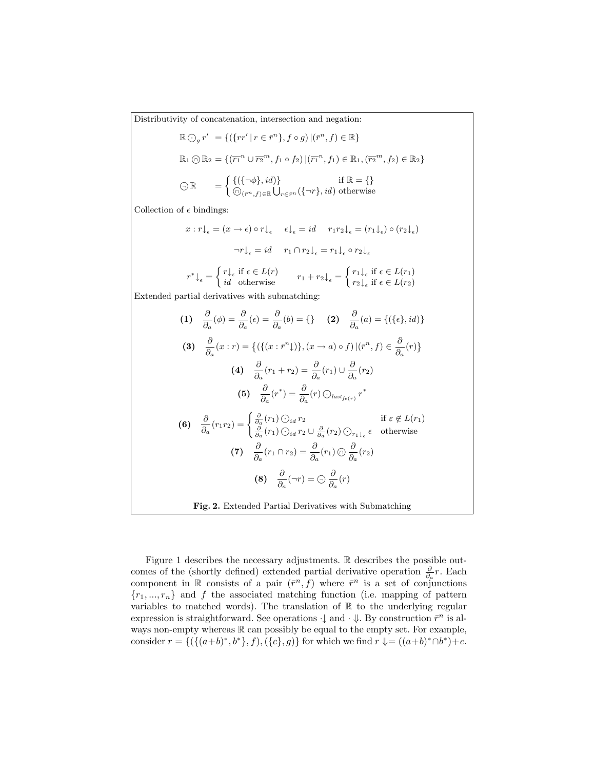Distributivity of concatenation, intersection and negation:

$$
\mathbb{R} \bigodot_{g} r' = \{ (\{rr' \mid r \in \bar{r}^{n}\}, f \circ g) \mid (\bar{r}^{n}, f) \in \mathbb{R} \}
$$
  

$$
\mathbb{R}_{1} \bigodot \mathbb{R}_{2} = \{ (\bar{r}_{1}^{n} \cup \bar{r}_{2}^{m}, f_{1} \circ f_{2}) \mid (\bar{r}_{1}^{n}, f_{1}) \in \mathbb{R}_{1}, (\bar{r}_{2}^{m}, f_{2}) \in \mathbb{R}_{2} \}
$$
  

$$
\bigodot \mathbb{R} = \left\{ \begin{matrix} \{ (\{\neg \phi\}, id) \} & \text{if } \mathbb{R} = \{ \} \\ \bigodot_{(\bar{r}^{n}, f) \in \mathbb{R}} \bigcup_{r \in \bar{r}^{n}} (\{\neg r\}, id) & \text{otherwise} \end{matrix} \right.
$$

Collection of  $\epsilon$  bindings:

$$
x : r \downarrow_{\epsilon} = (x \to \epsilon) \circ r \downarrow_{\epsilon} \quad \epsilon \downarrow_{\epsilon} = id \quad r_1 r_2 \downarrow_{\epsilon} = (r_1 \downarrow_{\epsilon}) \circ (r_2 \downarrow_{\epsilon})
$$

$$
\neg r \downarrow_{\epsilon} = id \quad r_1 \cap r_2 \downarrow_{\epsilon} = r_1 \downarrow_{\epsilon} \circ r_2 \downarrow_{\epsilon}
$$

$$
r^* \downarrow_{\epsilon} = \begin{cases} r \downarrow_{\epsilon} \text{ if } \epsilon \in L(r) \\ id & \text{otherwise} \end{cases} \quad r_1 + r_2 \downarrow_{\epsilon} = \begin{cases} r_1 \downarrow_{\epsilon} \text{ if } \epsilon \in L(r_1) \\ r_2 \downarrow_{\epsilon} \text{ if } \epsilon \in L(r_2) \end{cases}
$$

Extended partial derivatives with submatching:

(1) 
$$
\frac{\partial}{\partial a}(\phi) = \frac{\partial}{\partial a}(\epsilon) = \frac{\partial}{\partial a}(b) = \{\}
$$
 (2)  $\frac{\partial}{\partial a}(a) = \{(\{\epsilon\}, id)\}$   
\n(3)  $\frac{\partial}{\partial a}(x : r) = \{(\{(x : \bar{r}^n\})\}, (x \to a) \circ f) | (\bar{r}^n, f) \in \frac{\partial}{\partial a}(r)\}$   
\n(4)  $\frac{\partial}{\partial a}(r_1 + r_2) = \frac{\partial}{\partial a}(r_1) \cup \frac{\partial}{\partial a}(r_2)$   
\n(5)  $\frac{\partial}{\partial a}(r^*) = \frac{\partial}{\partial a}(r) \odot_{last_{f\nu}(r)} r^*$   
\n(6)  $\frac{\partial}{\partial a}(r_1r_2) = \begin{cases} \frac{\partial}{\partial a}(r_1) \odot_{id} r_2 & \text{if } \epsilon \notin L(r_1) \\ \frac{\partial}{\partial a}(r_1) \odot_{id} r_2 \cup \frac{\partial}{\partial a}(r_2) \odot_{r_1\downarrow_{\epsilon}} \epsilon & \text{otherwise} \end{cases}$   
\n(7)  $\frac{\partial}{\partial a}(r_1 \cap r_2) = \frac{\partial}{\partial a}(r_1) \odot \frac{\partial}{\partial a}(r_2)$   
\n(8)  $\frac{\partial}{\partial a}(\neg r) = \odot \frac{\partial}{\partial a}(r)$   
\nFig. 2. Extended Partial Derivatives with Submatching

Figure 1 describes the necessary adjustments. R describes the possible outcomes of the (shortly defined) extended partial derivative operation  $\frac{\partial}{\partial a}r$ . Each component in R consists of a pair  $(\bar{r}^n, f)$  where  $\bar{r}^n$  is a set of conjunctions  ${r_1, ..., r_n}$  and f the associated matching function (i.e. mapping of pattern variables to matched words). The translation of  $\mathbb R$  to the underlying regular expression is straightforward. See operations  $\downarrow$  and  $\cdot \downarrow$ . By construction  $\bar{r}^n$  is always non-empty whereas  $\mathbb R$  can possibly be equal to the empty set. For example, consider  $r = \{ (\{(a+b)^*, b^*\}, f), (\{c\}, g) \}$  for which we find  $r \Downarrow = ((a+b)^* \cap b^*) + c$ .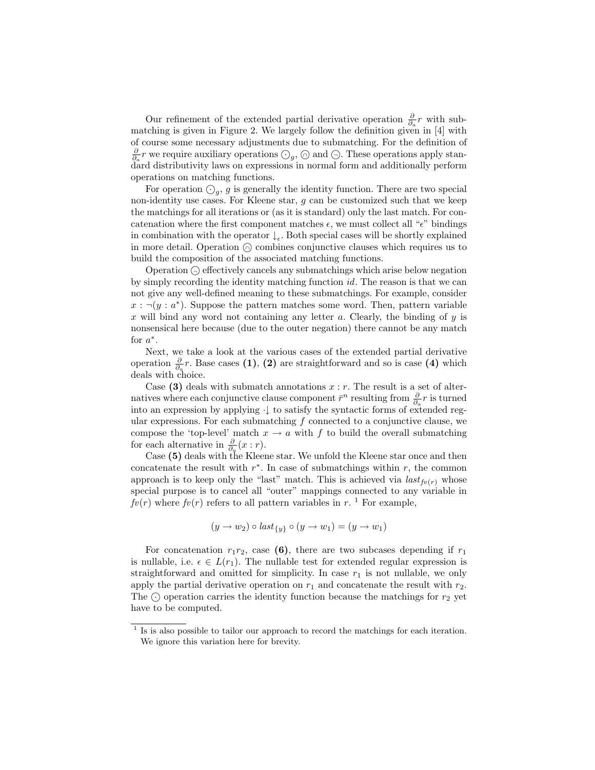Our refinement of the extended partial derivative operation  $\frac{\partial}{\partial a}r$  with submatching is given in Figure 2. We largely follow the definition given in [4] with of course some necessary adjustments due to submatching. For the definition of  $\frac{\partial}{\partial a}r$  we require auxiliary operations  $\bigcirc_g$ ,  $\bigcirc$  and  $\bigcirc$ . These operations apply standard distributivity laws on expressions in normal form and additionally perform operations on matching functions.

For operation  $\bigcirc_g$ , g is generally the identity function. There are two special non-identity use cases. For Kleene star, g can be customized such that we keep the matchings for all iterations or (as it is standard) only the last match. For concatenation where the first component matches  $\epsilon$ , we must collect all " $\epsilon$ " bindings in combination with the operator  $\downarrow_{\epsilon}$ . Both special cases will be shortly explained in more detail. Operation <sup>∩</sup> combines conjunctive clauses which requires us to build the composition of the associated matching functions.

Operation  $\ominus$  effectively cancels any submatchings which arise below negation by simply recording the identity matching function id. The reason is that we can not give any well-defined meaning to these submatchings. For example, consider  $x : \neg(y : a^*)$ . Suppose the pattern matches some word. Then, pattern variable x will bind any word not containing any letter a. Clearly, the binding of  $y$  is nonsensical here because (due to the outer negation) there cannot be any match for  $a^*$ .

Next, we take a look at the various cases of the extended partial derivative operation  $\frac{\partial}{\partial a}r$ . Base cases (1), (2) are straightforward and so is case (4) which deals with choice.

Case (3) deals with submatch annotations  $x : r$ . The result is a set of alternatives where each conjunctive clause component  $\bar{r}^n$  resulting from  $\frac{\partial}{\partial a}r$  is turned into an expression by applying ·↓ to satisfy the syntactic forms of extended regular expressions. For each submatching  $f$  connected to a conjunctive clause, we compose the 'top-level' match  $x \to a$  with f to build the overall submatching for each alternative in  $\frac{\partial}{\partial a}(x:r)$ .

Case (5) deals with the Kleene star. We unfold the Kleene star once and then concatenate the result with  $r^*$ . In case of submatchings within  $r$ , the common approach is to keep only the "last" match. This is achieved via  $last_{fv(r)}$  whose special purpose is to cancel all "outer" mappings connected to any variable in  $f(v(r))$  where  $fv(r)$  refers to all pattern variables in r.<sup>1</sup> For example,

$$
(y \rightarrow w_2) \circ last_{\{y\}} \circ (y \rightarrow w_1) = (y \rightarrow w_1)
$$

For concatenation  $r_1r_2$ , case (6), there are two subcases depending if  $r_1$ is nullable, i.e.  $\epsilon \in L(r_1)$ . The nullable test for extended regular expression is straightforward and omitted for simplicity. In case  $r_1$  is not nullable, we only apply the partial derivative operation on  $r_1$  and concatenate the result with  $r_2$ . The  $\odot$  operation carries the identity function because the matchings for  $r_2$  yet have to be computed.

<sup>&</sup>lt;sup>1</sup> Is is also possible to tailor our approach to record the matchings for each iteration. We ignore this variation here for brevity.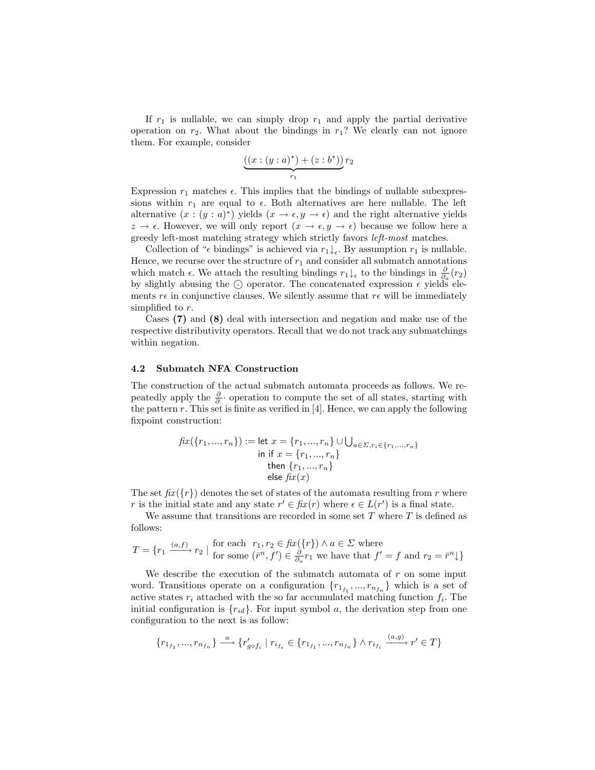If  $r_1$  is nullable, we can simply drop  $r_1$  and apply the partial derivative operation on  $r_2$ . What about the bindings in  $r_1$ ? We clearly can not ignore them. For example, consider

$$
\underbrace{((x:(y:a)^*) + (z:b^*))}_{r_1} r_2
$$

Expression  $r_1$  matches  $\epsilon$ . This implies that the bindings of nullable subexpressions within  $r_1$  are equal to  $\epsilon$ . Both alternatives are here nullable. The left alternative  $(x:(y:a)^*)$  yields  $(x \to \epsilon, y \to \epsilon)$  and the right alternative yields  $z \to \epsilon$ . However, we will only report  $(x \to \epsilon, y \to \epsilon)$  because we follow here a greedy left-most matching strategy which strictly favors left-most matches.

Collection of " $\epsilon$  bindings" is achieved via  $r_1 \downarrow_{\epsilon}$ . By assumption  $r_1$  is nullable. Hence, we recurse over the structure of  $r_1$  and consider all submatch annotations which match  $\epsilon$ . We attach the resulting bindings  $r_1\downarrow_{\epsilon}$  to the bindings in  $\frac{\partial}{\partial a}(r_2)$ by slightly abusing the  $\odot$  operator. The concatenated expression  $\epsilon$  yields elements  $r\epsilon$  in conjunctive clauses. We silently assume that  $r\epsilon$  will be immediately simplified to r.

Cases (7) and (8) deal with intersection and negation and make use of the respective distributivity operators. Recall that we do not track any submatchings within negation.

#### 4.2 Submatch NFA Construction

The construction of the actual submatch automata proceeds as follows. We repeatedly apply the  $\frac{\partial}{\partial}$  operation to compute the set of all states, starting with the pattern  $r$ . This set is finite as verified in [4]. Hence, we can apply the following fixpoint construction:

$$
fix({r_1, ..., r_n}) := let x = {r_1, ..., r_n} \cup \bigcup_{a \in \Sigma, r_i \in {r_1, ..., r_n}} in if x = {r_1, ..., r_n} then {r_1, ..., r_n} else fix(x)
$$

The set  $f(x \leq r)$  denotes the set of states of the automata resulting from r where r is the initial state and any state  $r' \in fix(r)$  where  $\epsilon \in L(r')$  is a final state.

We assume that transitions are recorded in some set  $T$  where  $T$  is defined as follows:

$$
T = \{r_1 \xrightarrow{(a,f)} r_2 \mid \text{ for each } r_1, r_2 \in \text{fix}(\{r\}) \land a \in \Sigma \text{ where}
$$
  
for some  $(\bar{r}^n, f') \in \frac{\partial}{\partial_a} r_1$  we have that  $f' = f$  and  $r_2 = \bar{r}^n \downarrow\}$ 

We describe the execution of the submatch automata of  $r$  on some input word. Transitions operate on a configuration  $\{r_{1_{f_1}},...,r_{n_{f_n}}\}$  which is a set of active states  $r_i$  attached with the so far accumulated matching function  $f_i$ . The initial configuration is  $\{r_{id}\}$ . For input symbol a, the derivation step from one configuration to the next is as follow:

$$
\{r_{1_{f_1}},...,r_{n_{f_n}}\} \xrightarrow{a} \{r'_{g \circ f_i} \mid r_{i_{f_i}} \in \{r_{1_{f_1}},...,r_{n_{f_n}}\} \wedge r_{i_{f_i}} \xrightarrow{(a,g)} r' \in T\}
$$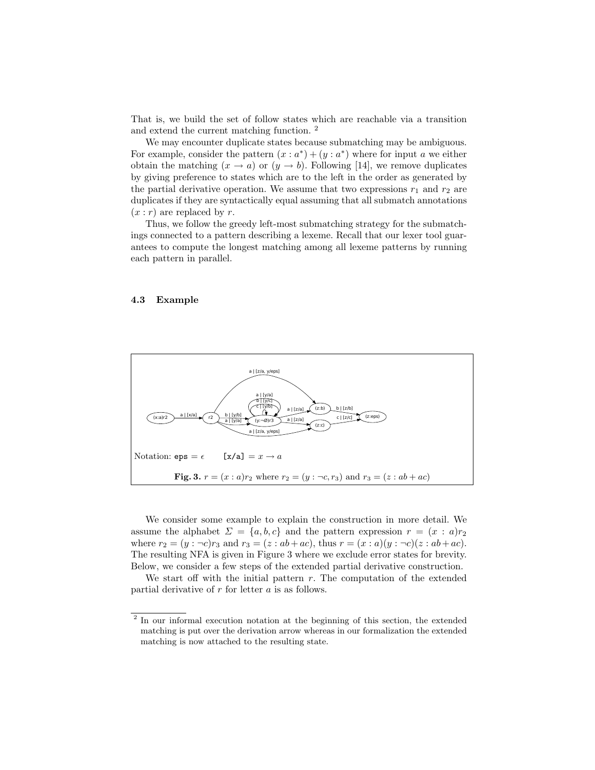That is, we build the set of follow states which are reachable via a transition and extend the current matching function. <sup>2</sup>

We may encounter duplicate states because submatching may be ambiguous. For example, consider the pattern  $(x : a^*) + (y : a^*)$  where for input a we either obtain the matching  $(x \to a)$  or  $(y \to b)$ . Following [14], we remove duplicates by giving preference to states which are to the left in the order as generated by the partial derivative operation. We assume that two expressions  $r_1$  and  $r_2$  are duplicates if they are syntactically equal assuming that all submatch annotations  $(x : r)$  are replaced by r.

Thus, we follow the greedy left-most submatching strategy for the submatchings connected to a pattern describing a lexeme. Recall that our lexer tool guarantees to compute the longest matching among all lexeme patterns by running each pattern in parallel.

#### 4.3 Example



We consider some example to explain the construction in more detail. We assume the alphabet  $\Sigma = \{a, b, c\}$  and the pattern expression  $r = (x : a)r_2$ where  $r_2 = (y : \neg c)r_3$  and  $r_3 = (z : ab + ac)$ , thus  $r = (x : a)(y : \neg c)(z : ab + ac)$ . The resulting NFA is given in Figure 3 where we exclude error states for brevity. Below, we consider a few steps of the extended partial derivative construction.

We start off with the initial pattern  $r$ . The computation of the extended partial derivative of  $r$  for letter  $a$  is as follows.

<sup>&</sup>lt;sup>2</sup> In our informal execution notation at the beginning of this section, the extended matching is put over the derivation arrow whereas in our formalization the extended matching is now attached to the resulting state.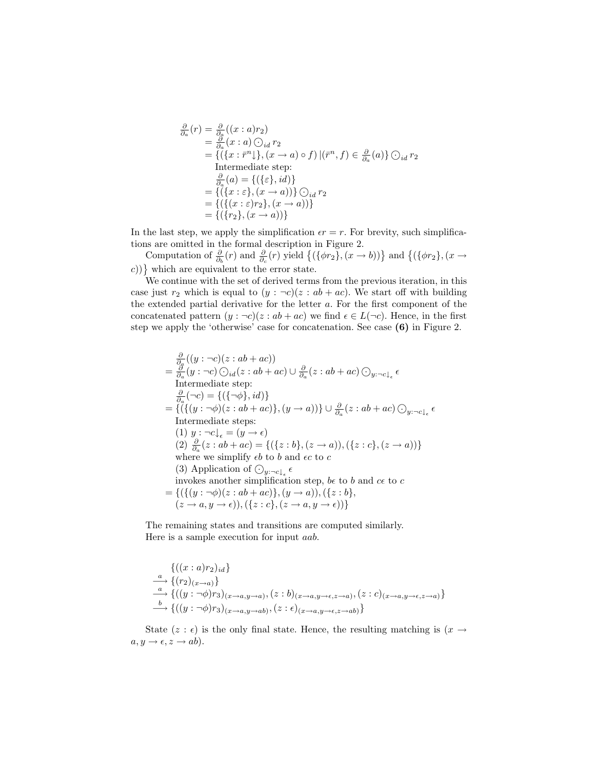$$
\frac{\partial}{\partial a}(r) = \frac{\partial}{\partial a}(x : a)r_2
$$
\n
$$
= \frac{\partial}{\partial a}(x : a) \odot_{id} r_2
$$
\n
$$
= \{ (\{x : \bar{r}^n\}, (x \to a) \circ f) | (\bar{r}^n, f) \in \frac{\partial}{\partial a}(a) \} \odot_{id} r_2
$$
\nIntermediate step:  
\n
$$
\frac{\partial}{\partial a}(a) = \{ (\{\varepsilon\}, id) \}
$$
\n
$$
= \{ (\{x : \varepsilon\}, (x \to a)) \} \odot_{id} r_2
$$
\n
$$
= \{ (\{x : \varepsilon\}, (x \to a)) \}
$$
\n
$$
= \{ (\{r_2\}, (x \to a)) \}
$$

In the last step, we apply the simplification  $\epsilon r = r$ . For brevity, such simplifications are omitted in the formal description in Figure 2.

Computation of  $\frac{\partial}{\partial_b}(r)$  and  $\frac{\partial}{\partial_c}(r)$  yield  $\{(\{\phi r_2\}, (\bar{x} \to b))\}$  and  $\{(\{\phi r_2\}, (\bar{x} \to b))\}$  $(c)$ } which are equivalent to the error state.

We continue with the set of derived terms from the previous iteration, in this case just  $r_2$  which is equal to  $(y : \neg c)(z : ab + ac)$ . We start off with building the extended partial derivative for the letter a. For the first component of the concatenated pattern  $(y : \neg c)(z : ab + ac)$  we find  $\epsilon \in L(\neg c)$ . Hence, in the first step we apply the 'otherwise' case for concatenation. See case (6) in Figure 2.

$$
\frac{\partial}{\partial a}(y:-c)(z:ab+ac))
$$
\n
$$
=\frac{\partial}{\partial a}(y:-c)\bigcirc_{id}(z:ab+ac)\bigcup \frac{\partial}{\partial a}(z:ab+ac)\bigcirc_{y:-c\downarrow_{\epsilon}}\epsilon
$$
\nIntermediate step:  
\n
$$
\frac{\partial}{\partial a}(-c) = \{(\{\neg\phi\},id)\}
$$
\n
$$
=\{(\{(y:-\phi)(z:ab+ac)\},(y\rightarrow a))\}\cup \frac{\partial}{\partial a}(z:ab+ac)\bigcirc_{y:-c\downarrow_{\epsilon}}\epsilon
$$
\nIntermediate steps:  
\n(1)  $y:-c\downarrow_{\epsilon}=(y\rightarrow\epsilon)$   
\n(2)  $\frac{\partial}{\partial a}(z:ab+ac) = \{(\{z:b\},(z\rightarrow a)),(\{z:c\},(z\rightarrow a))\}$   
\nwhere we simplify  $eb$  to  $b$  and  $ec$  to  $c$   
\n(3) Application of  $\bigcirc_{y:-c\downarrow_{\epsilon}}\epsilon$   
\ninvolkes another simplification step,  $be$  to  $b$  and  $ce$  to  $c$   
\n
$$
=\{(\{(y:-\phi)(z:ab+ac)\},(y\rightarrow a)),(\{z:b\},(z\rightarrow a,y\rightarrow \epsilon)),(\{z:c\},(z\rightarrow a,y\rightarrow \epsilon))\}
$$

The remaining states and transitions are computed similarly. Here is a sample execution for input aab.

$$
\begin{aligned}\n&\left\{((x:a)r_2)_{id}\right\} \\
&\xrightarrow{a}\{(r_2)_{(x\to a)}\} \\
&\xrightarrow{a}\left\{((y:\neg\phi)r_3)_{(x\to a,y\to a)},(z:b)_{(x\to a,y\to \epsilon,z\to a)},(z:c)_{(x\to a,y\to \epsilon,z\to a)}\right\} \\
&\xrightarrow{b}\left\{((y:\neg\phi)r_3)_{(x\to a,y\to ab)},(z:\epsilon)_{(x\to a,y\to \epsilon,z\to ab)}\right\}\n\end{aligned}
$$

State (z :  $\epsilon$ ) is the only final state. Hence, the resulting matching is (x  $\rightarrow$  $a, y \rightarrow \epsilon, z \rightarrow ab$ .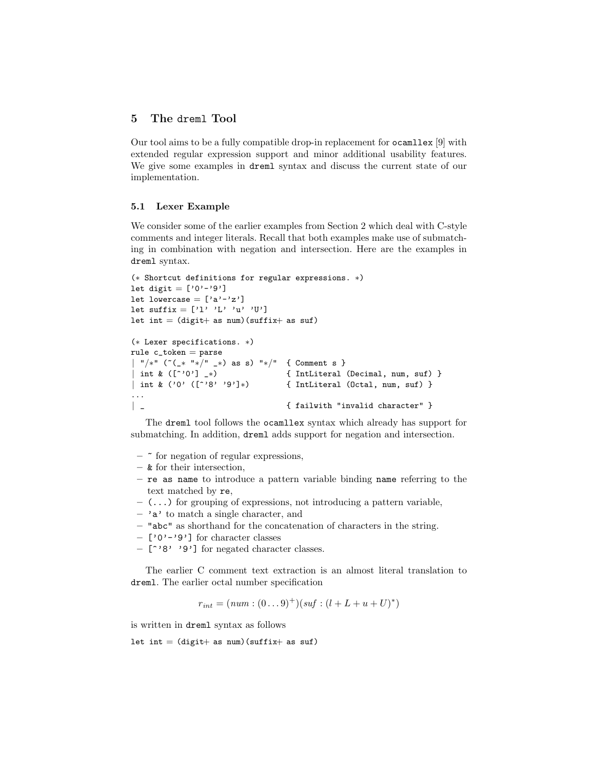# 5 The dreml Tool

Our tool aims to be a fully compatible drop-in replacement for ocamllex [9] with extended regular expression support and minor additional usability features. We give some examples in dreml syntax and discuss the current state of our implementation.

#### 5.1 Lexer Example

We consider some of the earlier examples from Section 2 which deal with C-style comments and integer literals. Recall that both examples make use of submatching in combination with negation and intersection. Here are the examples in dreml syntax.

```
(∗ Shortcut definitions for regular expressions. ∗)
let digit = ['0'-'9']
let lowercase = ['a'-''z']let suffix = ['1' 'L' 'u' 'U']let int = (digit+ as num)(suffix+ as sur)(∗ Lexer specifications. ∗)
rule c_token = parse| "/∗" (~(_∗ "∗/" _∗) as s) "∗/" { Comment s }
| int & ([^'0'] _*) \qquad \qquad { IntLiteral (Decimal, num, suf) }<br>| int & ('0' ([^'8' '9']*) \qquad { IntLiteral (Octal, num, suf) }
                                     { IntLiteral (Octal, num, suf) }
...
| _ { failwith "invalid character" }
```
The dreml tool follows the ocamllex syntax which already has support for submatching. In addition, dreml adds support for negation and intersection.

- $\sim$  for negation of regular expressions,
- & for their intersection,
- re as name to introduce a pattern variable binding name referring to the text matched by re,
- $-$  (...) for grouping of expressions, not introducing a pattern variable,
- $-$  'a' to match a single character, and
- "abc" as shorthand for the concatenation of characters in the string.
- $-[0'$ -'9'] for character classes
- [^'8' '9'] for negated character classes.

The earlier C comment text extraction is an almost literal translation to dreml. The earlier octal number specification

$$
r_{int} = (num : (0...9)^+) (suf : (l + L + u + U)^*)
$$

is written in dreml syntax as follows

let int =  $(digit+ as num)(suffix+ as sur)$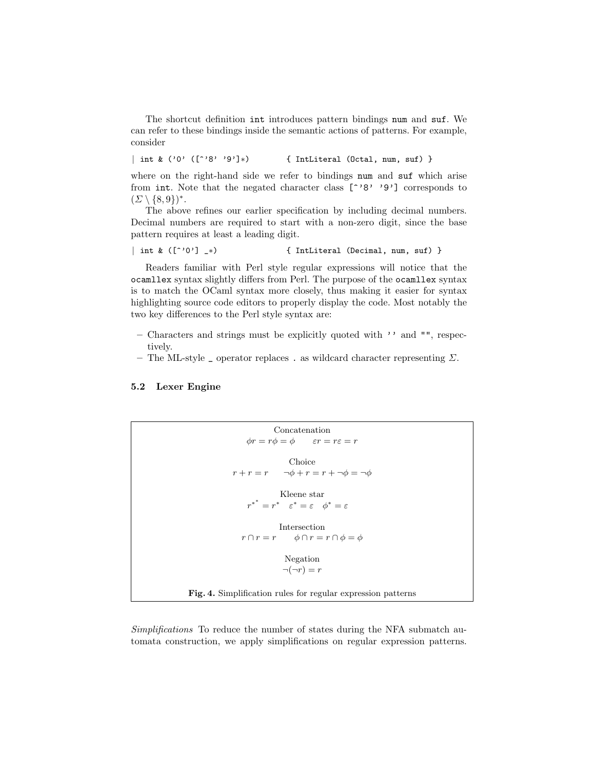The shortcut definition int introduces pattern bindings num and suf. We can refer to these bindings inside the semantic actions of patterns. For example, consider

| int & ('0' ([^'8' '9']∗) { IntLiteral (Octal, num, suf) }

where on the right-hand side we refer to bindings num and suf which arise from int. Note that the negated character class  $[$  <sup>2</sup> $]$   $'$ 9<sup> $'$ </sup>] corresponds to  $(\Sigma \setminus \{8,9\})^*$ .

The above refines our earlier specification by including decimal numbers. Decimal numbers are required to start with a non-zero digit, since the base pattern requires at least a leading digit.

| int &  $($ [ $\hat{c}'$ '0'] \_\*) { IntLiteral (Decimal, num, suf) }

Readers familiar with Perl style regular expressions will notice that the ocamllex syntax slightly differs from Perl. The purpose of the ocamllex syntax is to match the OCaml syntax more closely, thus making it easier for syntax highlighting source code editors to properly display the code. Most notably the two key differences to the Perl style syntax are:

- Characters and strings must be explicitly quoted with '' and "", respectively.
- The ML-style  $\Box$  operator replaces . as wildcard character representing  $\Sigma$ .

## 5.2 Lexer Engine

```
Concatenation
                      \phi r = r\phi = \phi \qquad \varepsilon r = r\varepsilon = rChoice
                 r + r = r \quad \neg \phi + r = r + \neg \phi = \neg \phiKleene star
                       r^{*} = r^{*} \quad \varepsilon^{*} = \varepsilon \quad \phi^{*} = \varepsilonIntersection
                     r \cap r = r \qquad \phi \cap r = r \cap \phi = \phiNegation
                                    \neg(\neg r) = rFig. 4. Simplification rules for regular expression patterns
```
Simplifications To reduce the number of states during the NFA submatch automata construction, we apply simplifications on regular expression patterns.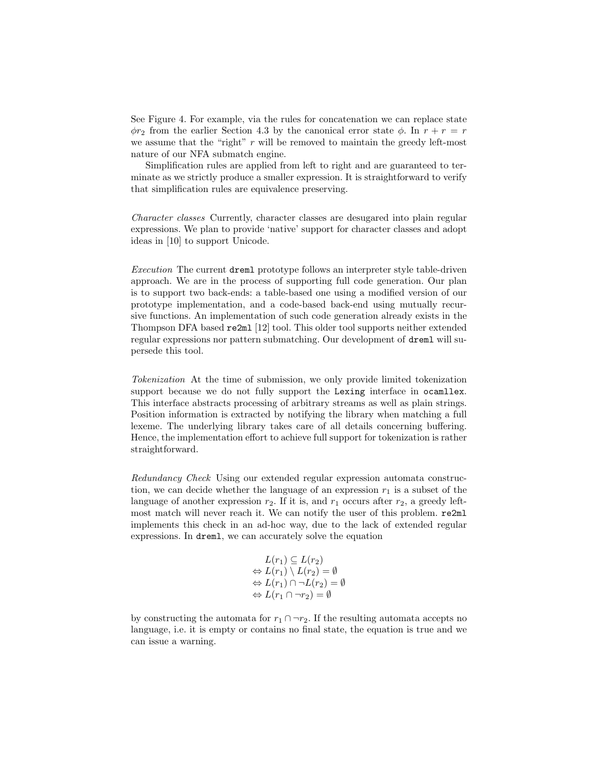See Figure 4. For example, via the rules for concatenation we can replace state  $\phi r_2$  from the earlier Section 4.3 by the canonical error state  $\phi$ . In  $r + r = r$ we assume that the "right" r will be removed to maintain the greedy left-most nature of our NFA submatch engine.

Simplification rules are applied from left to right and are guaranteed to terminate as we strictly produce a smaller expression. It is straightforward to verify that simplification rules are equivalence preserving.

Character classes Currently, character classes are desugared into plain regular expressions. We plan to provide 'native' support for character classes and adopt ideas in [10] to support Unicode.

Execution The current dreml prototype follows an interpreter style table-driven approach. We are in the process of supporting full code generation. Our plan is to support two back-ends: a table-based one using a modified version of our prototype implementation, and a code-based back-end using mutually recursive functions. An implementation of such code generation already exists in the Thompson DFA based re2ml [12] tool. This older tool supports neither extended regular expressions nor pattern submatching. Our development of dreml will supersede this tool.

Tokenization At the time of submission, we only provide limited tokenization support because we do not fully support the Lexing interface in ocamllex. This interface abstracts processing of arbitrary streams as well as plain strings. Position information is extracted by notifying the library when matching a full lexeme. The underlying library takes care of all details concerning buffering. Hence, the implementation effort to achieve full support for tokenization is rather straightforward.

Redundancy Check Using our extended regular expression automata construction, we can decide whether the language of an expression  $r_1$  is a subset of the language of another expression  $r_2$ . If it is, and  $r_1$  occurs after  $r_2$ , a greedy leftmost match will never reach it. We can notify the user of this problem. re2ml implements this check in an ad-hoc way, due to the lack of extended regular expressions. In dreml, we can accurately solve the equation

$$
L(r_1) \subseteq L(r_2)
$$
  
\n
$$
\Leftrightarrow L(r_1) \setminus L(r_2) = \emptyset
$$
  
\n
$$
\Leftrightarrow L(r_1) \cap \neg L(r_2) = \emptyset
$$
  
\n
$$
\Leftrightarrow L(r_1 \cap \neg r_2) = \emptyset
$$

by constructing the automata for  $r_1 \cap \neg r_2$ . If the resulting automata accepts no language, i.e. it is empty or contains no final state, the equation is true and we can issue a warning.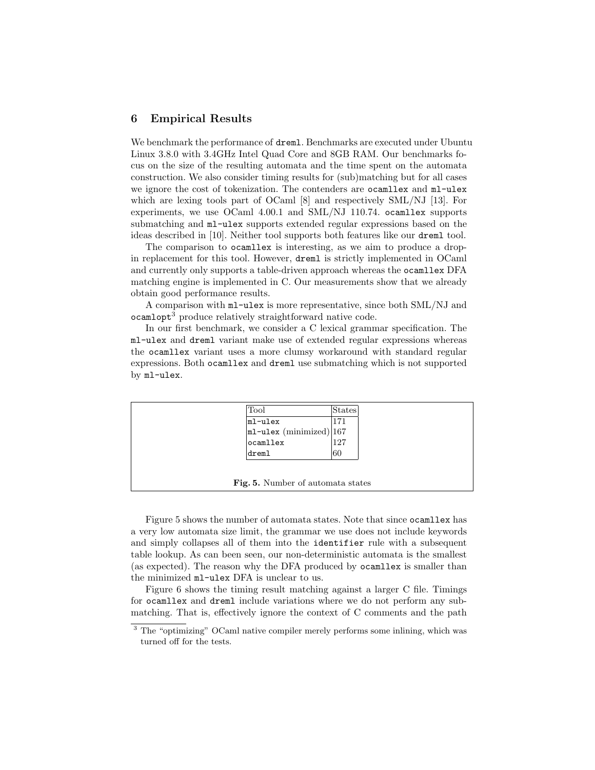## 6 Empirical Results

We benchmark the performance of dreml. Benchmarks are executed under Ubuntu Linux 3.8.0 with 3.4GHz Intel Quad Core and 8GB RAM. Our benchmarks focus on the size of the resulting automata and the time spent on the automata construction. We also consider timing results for (sub)matching but for all cases we ignore the cost of tokenization. The contenders are ocamllex and ml-ulex which are lexing tools part of OCaml [8] and respectively SML/NJ [13]. For experiments, we use OCaml 4.00.1 and SML/NJ 110.74. ocamllex supports submatching and ml-ulex supports extended regular expressions based on the ideas described in [10]. Neither tool supports both features like our dreml tool.

The comparison to ocamllex is interesting, as we aim to produce a dropin replacement for this tool. However, dreml is strictly implemented in OCaml and currently only supports a table-driven approach whereas the ocamllex DFA matching engine is implemented in C. Our measurements show that we already obtain good performance results.

A comparison with ml-ulex is more representative, since both SML/NJ and ocamlopt<sup>3</sup> produce relatively straightforward native code.

In our first benchmark, we consider a C lexical grammar specification. The ml-ulex and dreml variant make use of extended regular expressions whereas the ocamllex variant uses a more clumsy workaround with standard regular expressions. Both ocamllex and dreml use submatching which is not supported by ml-ulex.

| Tool                                                     | <b>States</b> |
|----------------------------------------------------------|---------------|
| $m1-u1ex$                                                |               |
| $\left  \texttt{ml-ulex}\;(\text{minimized}) \right 167$ |               |
| $ $ ocamllex                                             | 127           |
| dreml                                                    | 60            |

Fig. 5. Number of automata states

Figure 5 shows the number of automata states. Note that since ocamllex has a very low automata size limit, the grammar we use does not include keywords and simply collapses all of them into the identifier rule with a subsequent table lookup. As can been seen, our non-deterministic automata is the smallest (as expected). The reason why the DFA produced by ocamllex is smaller than the minimized ml-ulex DFA is unclear to us.

Figure 6 shows the timing result matching against a larger C file. Timings for ocamllex and dreml include variations where we do not perform any submatching. That is, effectively ignore the context of C comments and the path

<sup>&</sup>lt;sup>3</sup> The "optimizing" OCaml native compiler merely performs some inlining, which was turned off for the tests.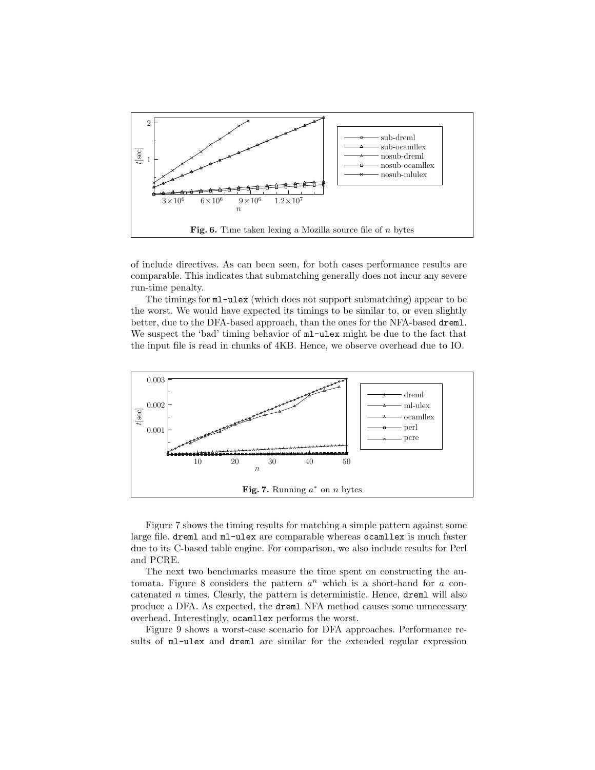

of include directives. As can been seen, for both cases performance results are comparable. This indicates that submatching generally does not incur any severe run-time penalty.

The timings for ml-ulex (which does not support submatching) appear to be the worst. We would have expected its timings to be similar to, or even slightly better, due to the DFA-based approach, than the ones for the NFA-based dreml. We suspect the 'bad' timing behavior of  $m$ -ulex might be due to the fact that the input file is read in chunks of 4KB. Hence, we observe overhead due to IO.



Figure 7 shows the timing results for matching a simple pattern against some large file. dreml and ml-ulex are comparable whereas ocamllex is much faster due to its C-based table engine. For comparison, we also include results for Perl and PCRE.

The next two benchmarks measure the time spent on constructing the automata. Figure 8 considers the pattern  $a^n$  which is a short-hand for  $a$  concatenated  $n$  times. Clearly, the pattern is deterministic. Hence, **dreml** will also produce a DFA. As expected, the dreml NFA method causes some unnecessary overhead. Interestingly, ocamllex performs the worst.

Figure 9 shows a worst-case scenario for DFA approaches. Performance results of ml-ulex and dreml are similar for the extended regular expression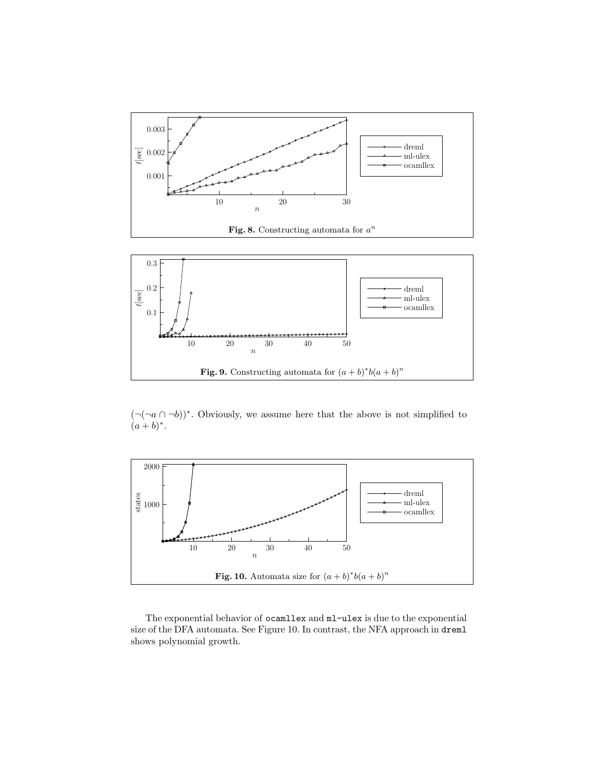

 $(\neg(\neg a \cap \neg b))^*$ . Obviously, we assume here that the above is not simplified to  $(a + b)^*$ .



The exponential behavior of ocamllex and ml-ulex is due to the exponential size of the DFA automata. See Figure 10. In contrast, the NFA approach in dreml shows polynomial growth.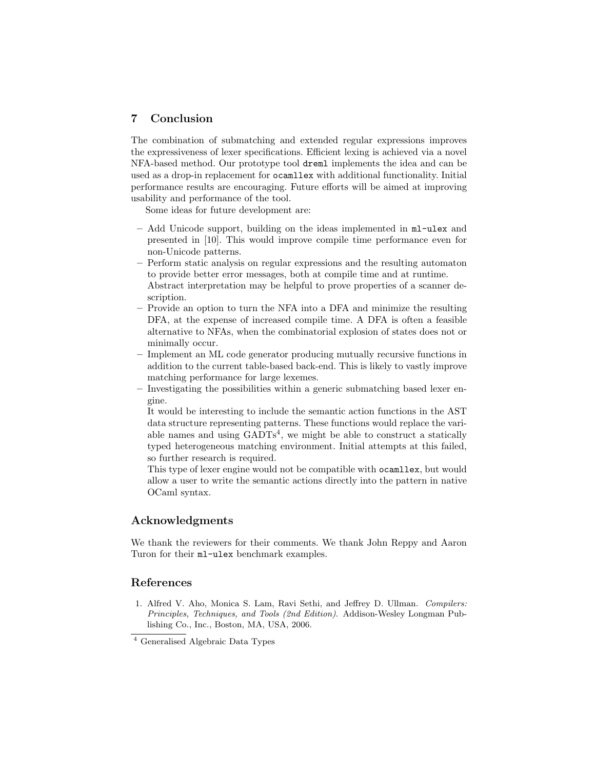# 7 Conclusion

The combination of submatching and extended regular expressions improves the expressiveness of lexer specifications. Efficient lexing is achieved via a novel NFA-based method. Our prototype tool dreml implements the idea and can be used as a drop-in replacement for ocamllex with additional functionality. Initial performance results are encouraging. Future efforts will be aimed at improving usability and performance of the tool.

Some ideas for future development are:

- Add Unicode support, building on the ideas implemented in ml-ulex and presented in [10]. This would improve compile time performance even for non-Unicode patterns.
- Perform static analysis on regular expressions and the resulting automaton to provide better error messages, both at compile time and at runtime.
- Abstract interpretation may be helpful to prove properties of a scanner description.
- Provide an option to turn the NFA into a DFA and minimize the resulting DFA, at the expense of increased compile time. A DFA is often a feasible alternative to NFAs, when the combinatorial explosion of states does not or minimally occur.
- Implement an ML code generator producing mutually recursive functions in addition to the current table-based back-end. This is likely to vastly improve matching performance for large lexemes.
- Investigating the possibilities within a generic submatching based lexer engine.

It would be interesting to include the semantic action functions in the AST data structure representing patterns. These functions would replace the variable names and using  $\text{GADTs}^4$ , we might be able to construct a statically typed heterogeneous matching environment. Initial attempts at this failed, so further research is required.

This type of lexer engine would not be compatible with ocamllex, but would allow a user to write the semantic actions directly into the pattern in native OCaml syntax.

# Acknowledgments

We thank the reviewers for their comments. We thank John Reppy and Aaron Turon for their ml-ulex benchmark examples.

## References

1. Alfred V. Aho, Monica S. Lam, Ravi Sethi, and Jeffrey D. Ullman. Compilers: Principles, Techniques, and Tools (2nd Edition). Addison-Wesley Longman Publishing Co., Inc., Boston, MA, USA, 2006.

<sup>4</sup> Generalised Algebraic Data Types